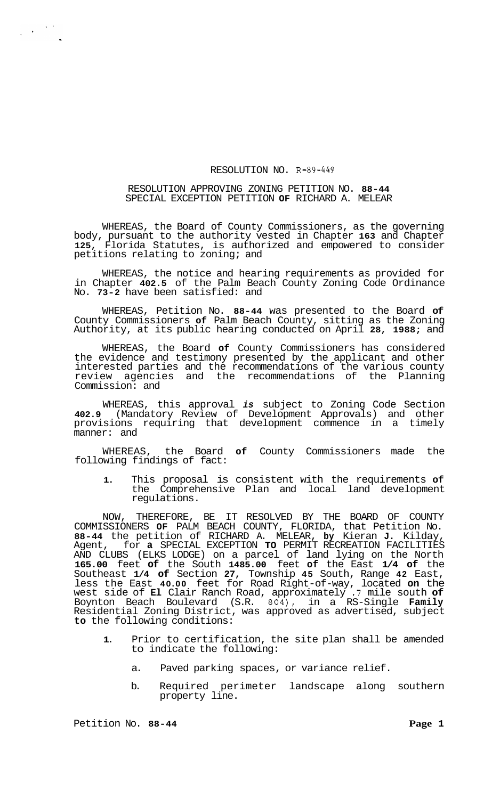## RESOLUTION NO. R-89-449

## RESOLUTION APPROVING ZONING PETITION NO. **88-44**  SPECIAL EXCEPTION PETITION **OF** RICHARD A. MELEAR

WHEREAS, the Board of County Commissioners, as the governing body, pursuant to the authority vested in Chapter **163** and Chapter **125,** Florida Statutes, is authorized and empowered to consider petitions relating to zoning; and

WHEREAS, the notice and hearing requirements as provided for in Chapter **402.5** of the Palm Beach County Zoning Code Ordinance No. **73-2** have been satisfied: and

WHEREAS, Petition No. **88-44** was presented to the Board **of**  County Commissioners **of** Palm Beach County, sitting as the Zoning Authority, at its public hearing conducted on April **28, 1988;** and

WHEREAS, the Board **of** County Commissioners has considered the evidence and testimony presented by the applicant and other interested parties and the recommendations of the various county review agencies and the recommendations of the Planning Commission: and

WHEREAS, this approval *is* subject to Zoning Code Section **402.9** (Mandatory Review of Development Approvals) and other provisions requiring that development commence in a timely manner: and

WHEREAS, the Board **of** County Commissioners made the following findings of fact:

**1.** This proposal is consistent with the requirements **of**  the Comprehensive Plan and local land development regulations.

NOW, THEREFORE, BE IT RESOLVED BY THE BOARD OF COUNTY COMMISSIONERS **OF** PALM BEACH COUNTY, FLORIDA, that Petition No. **88-44** the petition of RICHARD A. MELEAR, **by** Kieran **J.** Kilday, Agent, for **a** SPECIAL EXCEPTION **TO** PERMIT RECREATION FACILITIES AND CLUBS (ELKS LODGE) on a parcel of land lying on the North **165.00** feet **of** the South **1485.00** feet **of** the East **1/4 of** the Southeast **1/4 of** Section **27,** Township **45** South, Range **42** East, less the East **40.00** feet for Road Right-of-way, located **on** the west side of **El** Clair Ranch Road, approximately **.7** mile south **of**  Boynton Beach Boulevard (S.R. **804),** in a RS-Single **Family**  Residential Zoning District, was approved as advertised, subject **to** the following conditions:

- **1.** Prior to certification, the site plan shall be amended to indicate the following:
	- a. Paved parking spaces, or variance relief.
	- b. Required perimeter landscape along southern property line.

 $\label{eq:2} \frac{1}{2\pi}\left(\frac{1}{\sqrt{2}}\right)^{1/2}\frac{1}{\sqrt{2}}\left(\frac{1}{\sqrt{2}}\right)^{1/2}$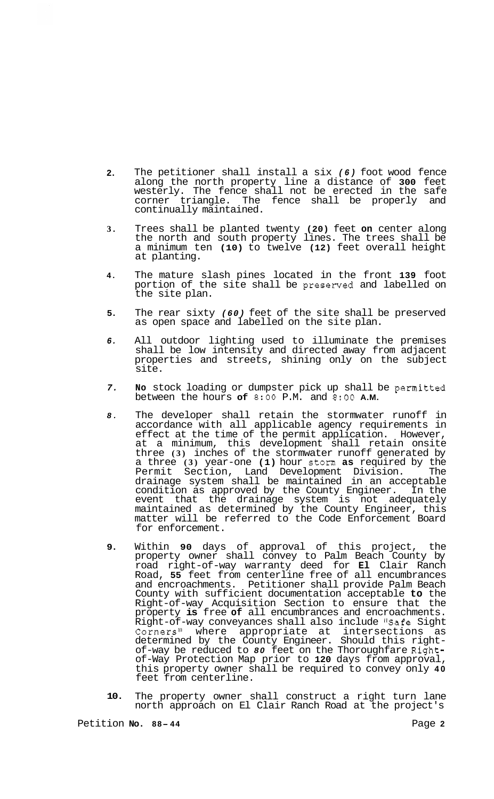- **2.**  The petitioner shall install a six *(6)* foot wood fence along the north property line a distance of **300** feet westerly. The fence shall not be erected in the safe corner triangle. The fence shall be properly and continually maintained.
- **3.**  Trees shall be planted twenty **(20)** feet **on** center along the north and south property lines. The trees shall be a minimum ten **(10)** to twelve **(12)** feet overall height at planting.
- **4.**  The mature slash pines located in the front **139** foot portion of the site shall be presenred and labelled on the site plan.
- **5.**  The rear sixty *(60)* feet of the site shall be preserved as open space and labelled on the site plan.
- *6.*  All outdoor lighting used to illuminate the premises shall be low intensity and directed away from adjacent properties and streets, shining only on the subject site.
- *7.*  **No** stock loading or dumpster pick up shall be permitted between the hours **of 8:OO** P.M. and **8:OO A.M.**
- *8.*  The developer shall retain the stormwater runoff in accordance with all applicable agency requirements in effect at the time of the permit application. However, at a minimum, this development shall retain onsite three **(3)** inches of the stormwater runoff generated by a three **(3)** year-one **(1)** hour storm **as** required by the Permit Section, Land Development Division. The drainage system shall be maintained in an acceptable condition as approved by the County Engineer. In the event that the drainage system is not adequately maintained as determined by the County Engineer, this matter will be referred to the Code Enforcement Board for enforcement.
- **9.**  Within **90** days of approval of this project, the property owner shall convey to Palm Beach County by road right-of-way warranty deed for **El** Clair Ranch Road, **55** feet from centerline free of all encumbrances and encroachments. Petitioner shall provide Palm Beach County with sufficient documentation acceptable **to** the Right-of-way Acquisition Section to ensure that the property **is** free **of** all encumbrances and encroachments. Right-of-way conveyances shall also include **"Safe** Sight Corners" where appropriate at intersections as<br>determined by the County Engineer. Should this rightdetermined by the County Engineer. Should this right- of-way be reduced to *80* feet on the Thoroughfare Rightof-Way Protection Map prior to **120** days from approval, this property owner shall be required to convey only **40**  feet from centerline.
- **10.**  The property owner shall construct a right turn lane north approach on El Clair Ranch Road at the project's

Petition **No. 88-44** Page 2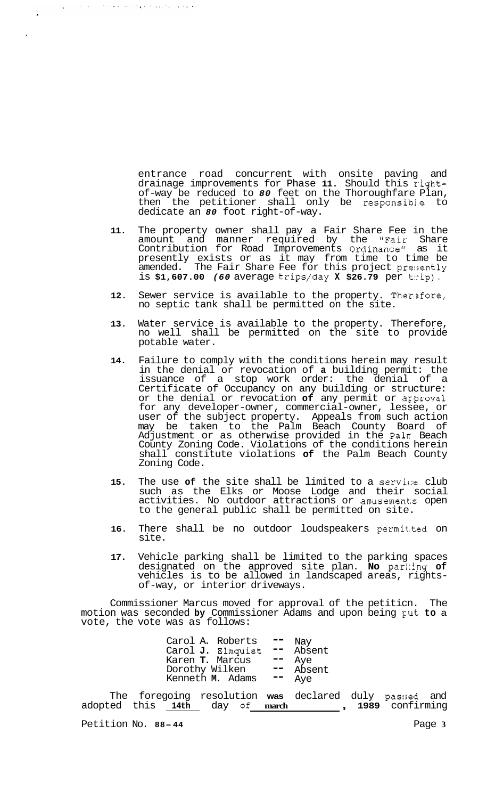entrance road concurrent with onsite paving and drainage improvements for Phase **11.** Should this r,ightof-way be reduced to *80* feet on the Thoroughfare Plan, then the petitioner shall only be responsib1.e to dedicate an *80* foot right-of-way.

- **11.**  The property owner shall pay a Fair Share Fee in the amount and manner required by the "Fair Share Contribution for Road Improvements Ordinance" as it presently exists or as it may from time to time be amended. The Fair Share Fee for this project presently is **\$1,607.00** *(60* average trips/day **X \$26.79** per t:cip).
- **12.**  Sewer service is available to the property. Therefore, no septic tank shall be permitted on the site.
- **13.**  Water service is available to the property. Therefore, no well shall be permitted on the site to provide potable water.
- **14.**  Failure to comply with the conditions herein may result in the denial or revocation of **a** building permit: the issuance of a stop work order: the denial of a Certificate of Occupancy on any building or structure: or the denial or revocation **of** any permit or ag'proval for any developer-owner, commercial-owner, lessee, or user of the subject property. Appeals from such action may be taken to the Palm Beach County Board of Adjustment or as otherwise provided in the Paln Beach County Zoning Code. Violations of the conditions herein shall constitute violations **of** the Palm Beach County Zoning Code.
- **15.**  The use of the site shall be limited to a service club such as the Elks or Moose Lodge and their social activities. No outdoor attractions or amusements open to the general public shall be permitted on site.
- **16.**  There shall be no outdoor loudspeakers permit.ted on site.
- **17.**  Vehicle parking shall be limited to the parking spaces designated on the approved site plan. **No** par1:ing **of**  vehicles is to be allowed in landscaped areas, rights- of-way, or interior driveways.

Commissioner Marcus moved for approval of the petiticn. The motion was seconded **by** Commissioner Adams and upon being gut **to** a vote, the vote was as follows:

| Carol A. Roberts  | Nay    |
|-------------------|--------|
| Carol J. Elmquist | Absent |
| Karen T. Marcus   | Ave    |
| Dorothy Wilken    | Absent |
| Kenneth M. Adams  | Ave    |
|                   |        |

The foregoing resolution **was** declared duly passed and adopted this **14th** day **Of march** , **1989** confirming

Petition No. 88-44 Page 3

أحاط والطراز ورئي ويورث أتراميها أترام والمتواطنة والأنبار التياري والمناور

 $\mathcal{L}_{\mathbf{A}}$  .